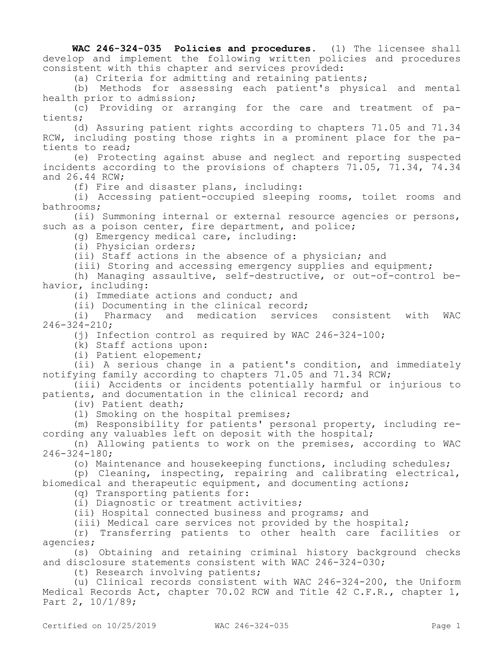**WAC 246-324-035 Policies and procedures.** (1) The licensee shall develop and implement the following written policies and procedures consistent with this chapter and services provided:

(a) Criteria for admitting and retaining patients;

(b) Methods for assessing each patient's physical and mental health prior to admission;

(c) Providing or arranging for the care and treatment of patients;

(d) Assuring patient rights according to chapters 71.05 and 71.34 RCW, including posting those rights in a prominent place for the patients to read;

(e) Protecting against abuse and neglect and reporting suspected incidents according to the provisions of chapters 71.05, 71.34, 74.34 and 26.44 RCW;

(f) Fire and disaster plans, including:

(i) Accessing patient-occupied sleeping rooms, toilet rooms and bathrooms;

(ii) Summoning internal or external resource agencies or persons, such as a poison center, fire department, and police;

(g) Emergency medical care, including:

(i) Physician orders;

(ii) Staff actions in the absence of a physician; and

(iii) Storing and accessing emergency supplies and equipment;

(h) Managing assaultive, self-destructive, or out-of-control behavior, including:

(i) Immediate actions and conduct; and

(ii) Documenting in the clinical record;

(i) Pharmacy and medication services consistent with WAC 246-324-210;

(j) Infection control as required by WAC 246-324-100;

(k) Staff actions upon:

(i) Patient elopement;

(ii) A serious change in a patient's condition, and immediately notifying family according to chapters 71.05 and 71.34 RCW;

(iii) Accidents or incidents potentially harmful or injurious to patients, and documentation in the clinical record; and

(iv) Patient death;

(l) Smoking on the hospital premises;

(m) Responsibility for patients' personal property, including recording any valuables left on deposit with the hospital;

(n) Allowing patients to work on the premises, according to WAC 246-324-180;

(o) Maintenance and housekeeping functions, including schedules;

(p) Cleaning, inspecting, repairing and calibrating electrical, biomedical and therapeutic equipment, and documenting actions;

(q) Transporting patients for:

(i) Diagnostic or treatment activities;

(ii) Hospital connected business and programs; and

(iii) Medical care services not provided by the hospital;

(r) Transferring patients to other health care facilities or agencies;

(s) Obtaining and retaining criminal history background checks and disclosure statements consistent with WAC 246-324-030;

(t) Research involving patients;

(u) Clinical records consistent with WAC 246-324-200, the Uniform Medical Records Act, chapter 70.02 RCW and Title 42 C.F.R., chapter 1, Part 2, 10/1/89;